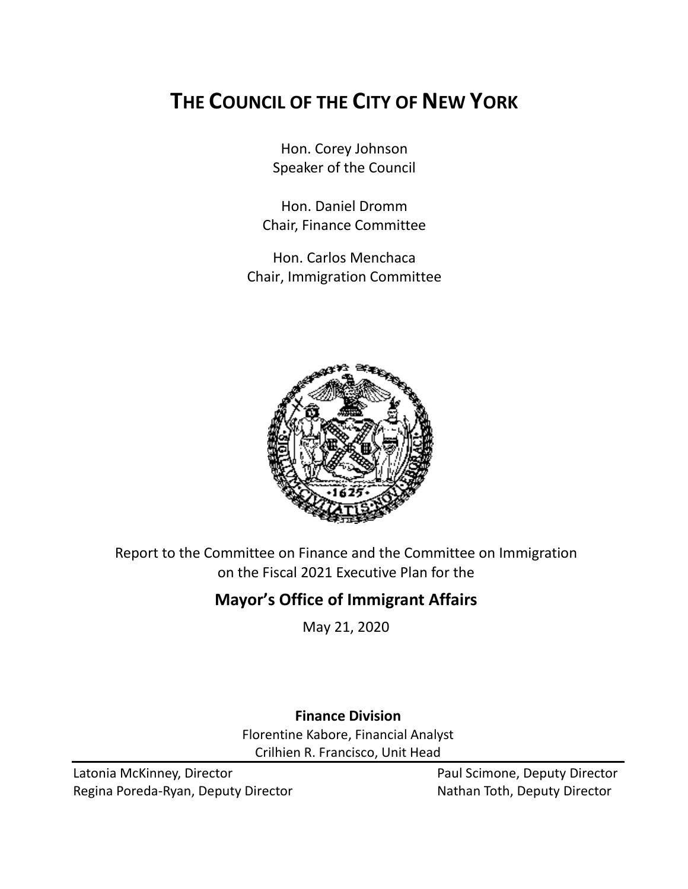# **THE COUNCIL OF THE CITY OF NEW YORK**

Hon. Corey Johnson Speaker of the Council

Hon. Daniel Dromm Chair, Finance Committee

Hon. Carlos Menchaca Chair, Immigration Committee



Report to the Committee on Finance and the Committee on Immigration on the Fiscal 2021 Executive Plan for the

## **Mayor's Office of Immigrant Affairs**

May 21, 2020

# **Finance Division**

Florentine Kabore, Financial Analyst Crilhien R. Francisco, Unit Head

Latonia McKinney, Director **Paul Scimone, Deputy Director** Paul Scimone, Deputy Director Regina Poreda-Ryan, Deputy Director Nathan Toth, Deputy Director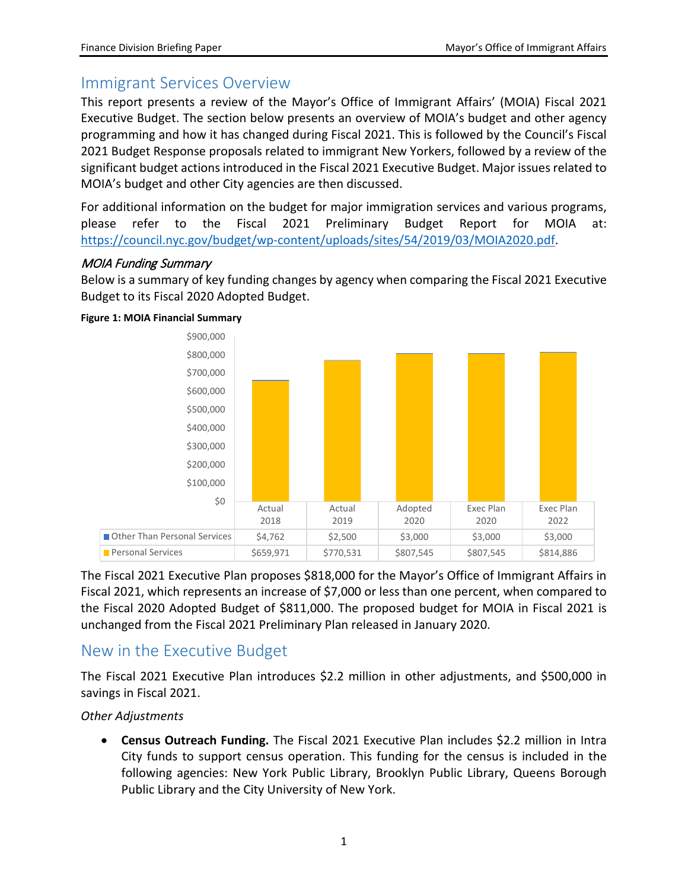## Immigrant Services Overview

This report presents a review of the Mayor's Office of Immigrant Affairs' (MOIA) Fiscal 2021 Executive Budget. The section below presents an overview of MOIA's budget and other agency programming and how it has changed during Fiscal 2021. This is followed by the Council's Fiscal 2021 Budget Response proposals related to immigrant New Yorkers, followed by a review of the significant budget actions introduced in the Fiscal 2021 Executive Budget. Major issues related to MOIA's budget and other City agencies are then discussed.

For additional information on the budget for major immigration services and various programs, please refer to the Fiscal 2021 Preliminary Budget Report for MOIA at: [https://council.nyc.gov/budget/wp-content/uploads/sites/54/2019/03/MOIA2020.pdf.](https://council.nyc.gov/budget/wp-content/uploads/sites/54/2019/03/MOIA2020.pdf)

#### MOIA Funding Summary

Below is a summary of key funding changes by agency when comparing the Fiscal 2021 Executive Budget to its Fiscal 2020 Adopted Budget.



#### **Figure 1: MOIA Financial Summary**

The Fiscal 2021 Executive Plan proposes \$818,000 for the Mayor's Office of Immigrant Affairs in Fiscal 2021, which represents an increase of \$7,000 or less than one percent, when compared to the Fiscal 2020 Adopted Budget of \$811,000. The proposed budget for MOIA in Fiscal 2021 is unchanged from the Fiscal 2021 Preliminary Plan released in January 2020.

## New in the Executive Budget

The Fiscal 2021 Executive Plan introduces \$2.2 million in other adjustments, and \$500,000 in savings in Fiscal 2021.

#### *Other Adjustments*

• **Census Outreach Funding.** The Fiscal 2021 Executive Plan includes \$2.2 million in Intra City funds to support census operation. This funding for the census is included in the following agencies: New York Public Library, Brooklyn Public Library, Queens Borough Public Library and the City University of New York.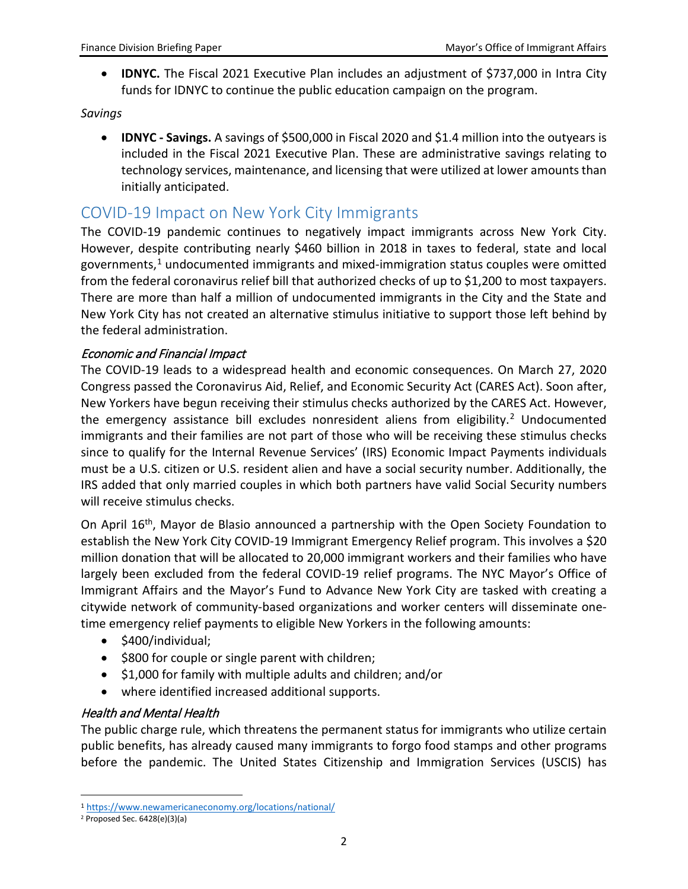• **IDNYC.** The Fiscal 2021 Executive Plan includes an adjustment of \$737,000 in Intra City funds for IDNYC to continue the public education campaign on the program.

#### *Savings*

• **IDNYC - Savings.** A savings of \$500,000 in Fiscal 2020 and \$1.4 million into the outyears is included in the Fiscal 2021 Executive Plan. These are administrative savings relating to technology services, maintenance, and licensing that were utilized at lower amounts than initially anticipated.

### COVID-19 Impact on New York City Immigrants

The COVID-19 pandemic continues to negatively impact immigrants across New York City. However, despite contributing nearly \$460 billion in 2018 in taxes to federal, state and local governments, $1$  undocumented immigrants and mixed-immigration status couples were omitted from the federal coronavirus relief bill that authorized checks of up to \$1,200 to most taxpayers. There are more than half a million of undocumented immigrants in the City and the State and New York City has not created an alternative stimulus initiative to support those left behind by the federal administration.

#### Economic and Financial Impact

The COVID-19 leads to a widespread health and economic consequences. On March 27, 2020 Congress passed the Coronavirus Aid, Relief, and Economic Security Act (CARES Act). Soon after, New Yorkers have begun receiving their stimulus checks authorized by the CARES Act. However, the emergency assistance bill excludes nonresident aliens from eligibility.<sup>[2](#page-2-1)</sup> Undocumented immigrants and their families are not part of those who will be receiving these stimulus checks since to qualify for the Internal Revenue Services' (IRS) Economic Impact Payments individuals must be a U.S. citizen or U.S. resident alien and have a social security number. Additionally, the IRS added that only married couples in which both partners have valid Social Security numbers will receive stimulus checks.

On April 16<sup>th</sup>, Mayor de Blasio announced a partnership with the Open Society Foundation to establish the New York City COVID-19 Immigrant Emergency Relief program. This involves a \$20 million donation that will be allocated to 20,000 immigrant workers and their families who have largely been excluded from the federal COVID-19 relief programs. The NYC Mayor's Office of Immigrant Affairs and the Mayor's Fund to Advance New York City are tasked with creating a citywide network of community-based organizations and worker centers will disseminate onetime emergency relief payments to eligible New Yorkers in the following amounts:

- \$400/individual;
- \$800 for couple or single parent with children;
- \$1,000 for family with multiple adults and children; and/or
- where identified increased additional supports.

#### Health and Mental Health

The public charge rule, which threatens the permanent status for immigrants who utilize certain public benefits, has already caused many immigrants to forgo food stamps and other programs before the pandemic. The United States Citizenship and Immigration Services (USCIS) has

<span id="page-2-0"></span> <sup>1</sup> <https://www.newamericaneconomy.org/locations/national/>

<span id="page-2-1"></span> $2$  Proposed Sec. 6428(e)(3)(a)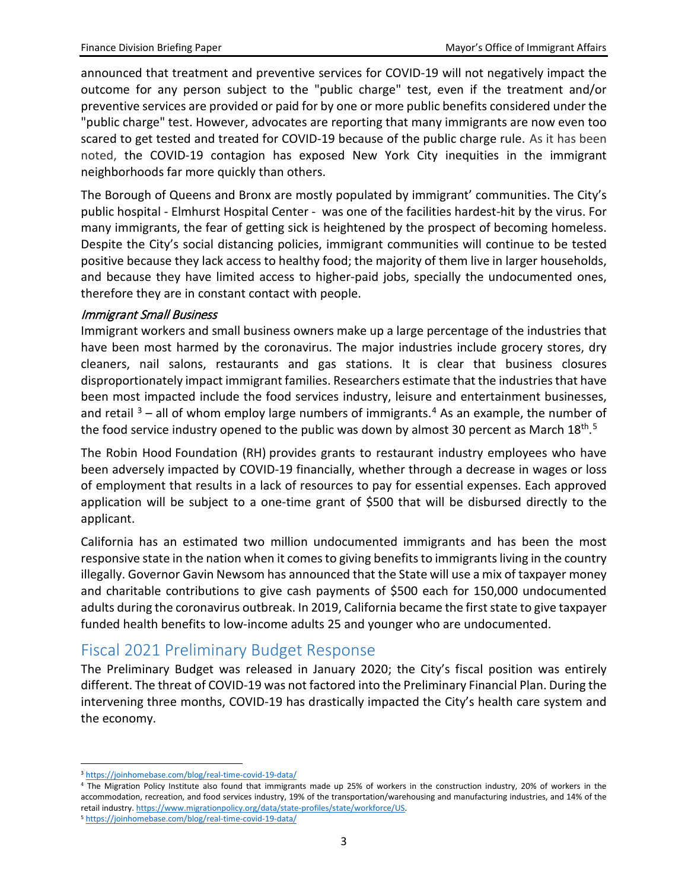announced that treatment and preventive services for COVID-19 will not negatively impact the outcome for any person subject to the "public charge" test, even if the treatment and/or preventive services are provided or paid for by one or more public benefits considered under the "public charge" test. However, advocates are reporting that many immigrants are now even too scared to get tested and treated for COVID-19 because of the public charge rule. As it has been noted, the COVID-19 contagion has exposed New York City inequities in the immigrant neighborhoods far more quickly than others.

The Borough of Queens and Bronx are mostly populated by immigrant' communities. The City's public hospital - Elmhurst Hospital Center - was one of the facilities hardest-hit by the virus. For many immigrants, the fear of getting sick is heightened by the prospect of becoming homeless. Despite the City's social distancing policies, immigrant communities will continue to be tested positive because they lack access to healthy food; the majority of them live in larger households, and because they have limited access to higher-paid jobs, specially the undocumented ones, therefore they are in constant contact with people.

#### Immigrant Small Business

Immigrant workers and small business owners make up a large percentage of the industries that have been most harmed by the coronavirus. The major industries include grocery stores, dry cleaners, nail salons, restaurants and gas stations. It is clear that business closures disproportionately impact immigrant families. Researchers estimate that the industries that have been most impacted include the food services industry, leisure and entertainment businesses, and retail  $3$  – all of whom employ large numbers of immigrants.<sup>[4](#page-3-1)</sup> As an example, the number of the food service industry opened to the public was down by almost 30 percent as March 18<sup>th [5](#page-3-2)</sup>

The Robin Hood Foundation (RH) provides grants to restaurant industry employees who have been adversely impacted by COVID-19 financially, whether through a decrease in wages or loss of employment that results in a lack of resources to pay for essential expenses. Each approved application will be subject to a one-time grant of \$500 that will be disbursed directly to the applicant.

California has an estimated two million undocumented immigrants and has been the most responsive state in the nation when it comes to giving benefits to immigrants living in the country illegally. Governor Gavin Newsom has announced that the State will use a mix of taxpayer money and charitable contributions to give cash payments of \$500 each for 150,000 undocumented adults during the coronavirus outbreak. In 2019, California became the first state to give taxpayer funded health benefits to low-income adults 25 and younger who are undocumented.

## Fiscal 2021 Preliminary Budget Response

The Preliminary Budget was released in January 2020; the City's fiscal position was entirely different. The threat of COVID-19 was not factored into the Preliminary Financial Plan. During the intervening three months, COVID-19 has drastically impacted the City's health care system and the economy.

 <sup>3</sup> <https://joinhomebase.com/blog/real-time-covid-19-data/>

<span id="page-3-1"></span><span id="page-3-0"></span><sup>4</sup> The Migration Policy Institute also found that immigrants made up 25% of workers in the construction industry, 20% of workers in the accommodation, recreation, and food services industry, 19% of the transportation/warehousing and manufacturing industries, and 14% of the retail industry[. https://www.migrationpolicy.org/data/state-profiles/state/workforce/US.](https://www.migrationpolicy.org/data/state-profiles/state/workforce/US)

<span id="page-3-2"></span><sup>5</sup> <https://joinhomebase.com/blog/real-time-covid-19-data/>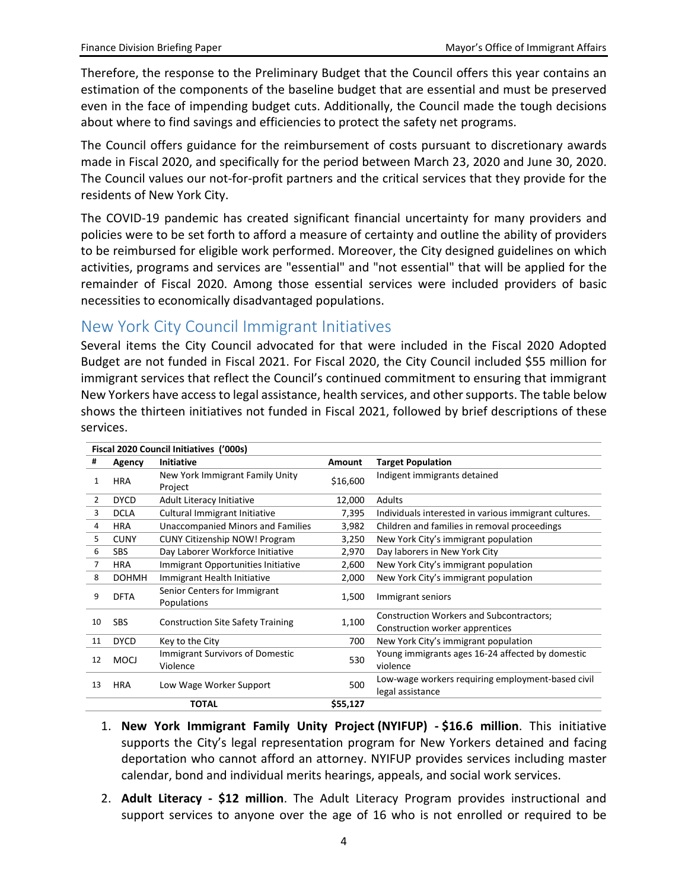Therefore, the response to the Preliminary Budget that the Council offers this year contains an estimation of the components of the baseline budget that are essential and must be preserved even in the face of impending budget cuts. Additionally, the Council made the tough decisions about where to find savings and efficiencies to protect the safety net programs.

The Council offers guidance for the reimbursement of costs pursuant to discretionary awards made in Fiscal 2020, and specifically for the period between March 23, 2020 and June 30, 2020. The Council values our not-for-profit partners and the critical services that they provide for the residents of New York City.

The COVID-19 pandemic has created significant financial uncertainty for many providers and policies were to be set forth to afford a measure of certainty and outline the ability of providers to be reimbursed for eligible work performed. Moreover, the City designed guidelines on which activities, programs and services are "essential" and "not essential" that will be applied for the remainder of Fiscal 2020. Among those essential services were included providers of basic necessities to economically disadvantaged populations.

### New York City Council Immigrant Initiatives

Several items the City Council advocated for that were included in the Fiscal 2020 Adopted Budget are not funded in Fiscal 2021. For Fiscal 2020, the City Council included \$55 million for immigrant services that reflect the Council's continued commitment to ensuring that immigrant New Yorkers have access to legal assistance, health services, and other supports. The table below shows the thirteen initiatives not funded in Fiscal 2021, followed by brief descriptions of these services.

| Fiscal 2020 Council Initiatives ('000s) |              |                                          |               |                                                       |
|-----------------------------------------|--------------|------------------------------------------|---------------|-------------------------------------------------------|
| #                                       | Agency       | <b>Initiative</b>                        | <b>Amount</b> | <b>Target Population</b>                              |
| 1                                       | <b>HRA</b>   | New York Immigrant Family Unity          | \$16,600      | Indigent immigrants detained                          |
|                                         |              | Project                                  |               |                                                       |
| 2                                       | <b>DYCD</b>  | <b>Adult Literacy Initiative</b>         | 12,000        | Adults                                                |
| 3                                       | <b>DCLA</b>  | Cultural Immigrant Initiative            | 7,395         | Individuals interested in various immigrant cultures. |
| 4                                       | <b>HRA</b>   | <b>Unaccompanied Minors and Families</b> | 3,982         | Children and families in removal proceedings          |
| 5                                       | <b>CUNY</b>  | <b>CUNY Citizenship NOW! Program</b>     | 3,250         | New York City's immigrant population                  |
| 6                                       | <b>SBS</b>   | Day Laborer Workforce Initiative         | 2,970         | Day laborers in New York City                         |
| 7                                       | HRA          | Immigrant Opportunities Initiative       | 2,600         | New York City's immigrant population                  |
| 8                                       | <b>DOHMH</b> | Immigrant Health Initiative              | 2,000         | New York City's immigrant population                  |
| 9                                       | <b>DFTA</b>  | Senior Centers for Immigrant             | 1,500         | Immigrant seniors                                     |
|                                         |              | Populations                              |               |                                                       |
| 10                                      | <b>SBS</b>   | <b>Construction Site Safety Training</b> | 1,100         | <b>Construction Workers and Subcontractors:</b>       |
|                                         |              |                                          |               | Construction worker apprentices                       |
| 11                                      | <b>DYCD</b>  | Key to the City                          | 700           | New York City's immigrant population                  |
| 12                                      | <b>MOCJ</b>  | <b>Immigrant Survivors of Domestic</b>   | 530           | Young immigrants ages 16-24 affected by domestic      |
|                                         |              | Violence                                 |               | violence                                              |
| 13                                      | <b>HRA</b>   | Low Wage Worker Support                  | 500           | Low-wage workers requiring employment-based civil     |
|                                         |              |                                          |               | legal assistance                                      |
|                                         |              | <b>TOTAL</b>                             | \$55,127      |                                                       |

- 1. **New York Immigrant Family Unity Project (NYIFUP) - \$16.6 million**. This initiative supports the City's legal representation program for New Yorkers detained and facing deportation who cannot afford an attorney. NYIFUP provides services including master calendar, bond and individual merits hearings, appeals, and social work services.
- 2. **Adult Literacy - \$12 million**. The Adult Literacy Program provides instructional and support services to anyone over the age of 16 who is not enrolled or required to be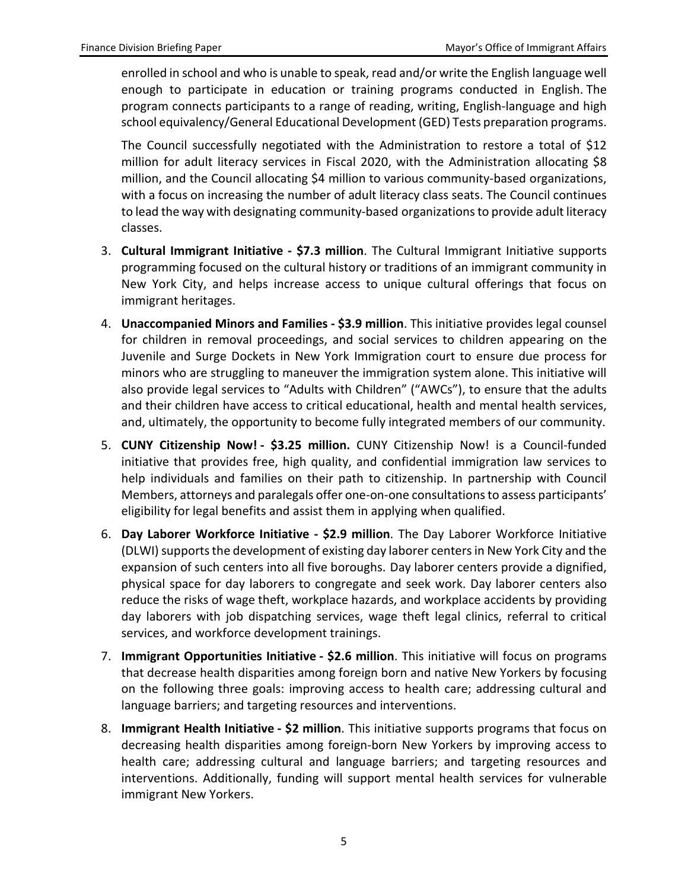enrolled in school and who is unable to speak, read and/or write the English language well enough to participate in education or training programs conducted in English. The program connects participants to a range of reading, writing, English-language and high school equivalency/General Educational Development (GED) Tests preparation programs.

The Council successfully negotiated with the Administration to restore a total of \$12 million for adult literacy services in Fiscal 2020, with the Administration allocating \$8 million, and the Council allocating \$4 million to various community-based organizations, with a focus on increasing the number of adult literacy class seats. The Council continues to lead the way with designating community-based organizations to provide adult literacy classes.

- 3. **Cultural Immigrant Initiative - \$7.3 million**. The Cultural Immigrant Initiative supports programming focused on the cultural history or traditions of an immigrant community in New York City, and helps increase access to unique cultural offerings that focus on immigrant heritages.
- 4. **Unaccompanied Minors and Families - \$3.9 million**. This initiative provides legal counsel for children in removal proceedings, and social services to children appearing on the Juvenile and Surge Dockets in New York Immigration court to ensure due process for minors who are struggling to maneuver the immigration system alone. This initiative will also provide legal services to "Adults with Children" ("AWCs"), to ensure that the adults and their children have access to critical educational, health and mental health services, and, ultimately, the opportunity to become fully integrated members of our community.
- 5. **CUNY Citizenship Now! - \$3.25 million.** CUNY Citizenship Now! is a Council-funded initiative that provides free, high quality, and confidential immigration law services to help individuals and families on their path to citizenship. In partnership with Council Members, attorneys and paralegals offer one-on-one consultations to assess participants' eligibility for legal benefits and assist them in applying when qualified.
- 6. **Day Laborer Workforce Initiative - \$2.9 million**. The Day Laborer Workforce Initiative (DLWI) supports the development of existing day laborer centers in New York City and the expansion of such centers into all five boroughs. Day laborer centers provide a dignified, physical space for day laborers to congregate and seek work. Day laborer centers also reduce the risks of wage theft, workplace hazards, and workplace accidents by providing day laborers with job dispatching services, wage theft legal clinics, referral to critical services, and workforce development trainings.
- 7. **Immigrant Opportunities Initiative - \$2.6 million**. This initiative will focus on programs that decrease health disparities among foreign born and native New Yorkers by focusing on the following three goals: improving access to health care; addressing cultural and language barriers; and targeting resources and interventions.
- 8. **Immigrant Health Initiative - \$2 million**. This initiative supports programs that focus on decreasing health disparities among foreign-born New Yorkers by improving access to health care; addressing cultural and language barriers; and targeting resources and interventions. Additionally, funding will support mental health services for vulnerable immigrant New Yorkers.